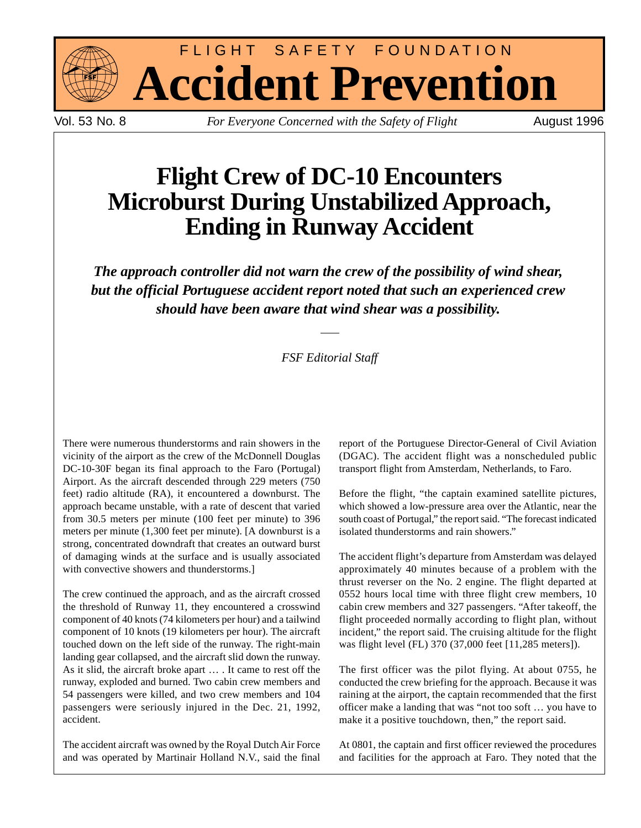

FLIGHT SAFETY FOUNDATION **Accident Prevention**

Vol. 53 No. 8 *For Everyone Concerned with the Safety of Flight* August 1996

# **Flight Crew of DC-10 Encounters Microburst During Unstabilized Approach, Ending in Runway Accident**

*The approach controller did not warn the crew of the possibility of wind shear, but the official Portuguese accident report noted that such an experienced crew should have been aware that wind shear was a possibility.*

### *FSF Editorial Staff*

There were numerous thunderstorms and rain showers in the vicinity of the airport as the crew of the McDonnell Douglas DC-10-30F began its final approach to the Faro (Portugal) Airport. As the aircraft descended through 229 meters (750 feet) radio altitude (RA), it encountered a downburst. The approach became unstable, with a rate of descent that varied from 30.5 meters per minute (100 feet per minute) to 396 meters per minute (1,300 feet per minute). [A downburst is a strong, concentrated downdraft that creates an outward burst of damaging winds at the surface and is usually associated with convective showers and thunderstorms.]

The crew continued the approach, and as the aircraft crossed the threshold of Runway 11, they encountered a crosswind component of 40 knots (74 kilometers per hour) and a tailwind component of 10 knots (19 kilometers per hour). The aircraft touched down on the left side of the runway. The right-main landing gear collapsed, and the aircraft slid down the runway. As it slid, the aircraft broke apart … . It came to rest off the runway, exploded and burned. Two cabin crew members and 54 passengers were killed, and two crew members and 104 passengers were seriously injured in the Dec. 21, 1992, accident.

The accident aircraft was owned by the Royal Dutch Air Force and was operated by Martinair Holland N.V., said the final report of the Portuguese Director-General of Civil Aviation (DGAC). The accident flight was a nonscheduled public transport flight from Amsterdam, Netherlands, to Faro.

Before the flight, "the captain examined satellite pictures, which showed a low-pressure area over the Atlantic, near the south coast of Portugal," the report said. "The forecast indicated isolated thunderstorms and rain showers."

The accident flight's departure from Amsterdam was delayed approximately 40 minutes because of a problem with the thrust reverser on the No. 2 engine. The flight departed at 0552 hours local time with three flight crew members, 10 cabin crew members and 327 passengers. "After takeoff, the flight proceeded normally according to flight plan, without incident," the report said. The cruising altitude for the flight was flight level (FL) 370 (37,000 feet [11,285 meters]).

The first officer was the pilot flying. At about 0755, he conducted the crew briefing for the approach. Because it was raining at the airport, the captain recommended that the first officer make a landing that was "not too soft … you have to make it a positive touchdown, then," the report said.

At 0801, the captain and first officer reviewed the procedures and facilities for the approach at Faro. They noted that the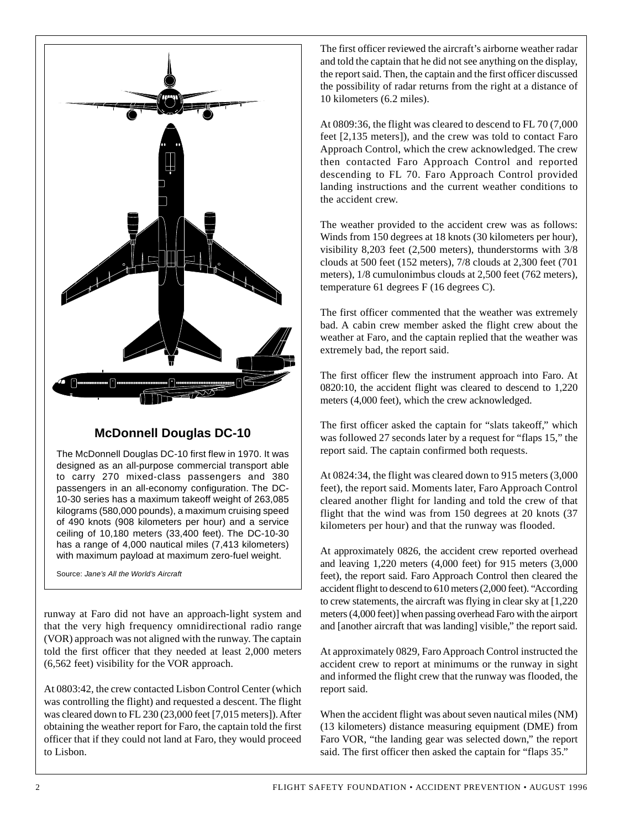

### **McDonnell Douglas DC-10**

The McDonnell Douglas DC-10 first flew in 1970. It was designed as an all-purpose commercial transport able to carry 270 mixed-class passengers and 380 passengers in an all-economy configuration. The DC-10-30 series has a maximum takeoff weight of 263,085 kilograms (580,000 pounds), a maximum cruising speed of 490 knots (908 kilometers per hour) and a service ceiling of 10,180 meters (33,400 feet). The DC-10-30 has a range of 4,000 nautical miles (7,413 kilometers) with maximum payload at maximum zero-fuel weight.

Source: Jane's All the World's Aircraft

runway at Faro did not have an approach-light system and that the very high frequency omnidirectional radio range (VOR) approach was not aligned with the runway. The captain told the first officer that they needed at least 2,000 meters (6,562 feet) visibility for the VOR approach.

At 0803:42, the crew contacted Lisbon Control Center (which was controlling the flight) and requested a descent. The flight was cleared down to FL 230 (23,000 feet [7,015 meters]). After obtaining the weather report for Faro, the captain told the first officer that if they could not land at Faro, they would proceed to Lisbon.

The first officer reviewed the aircraft's airborne weather radar and told the captain that he did not see anything on the display, the report said. Then, the captain and the first officer discussed the possibility of radar returns from the right at a distance of 10 kilometers (6.2 miles).

At 0809:36, the flight was cleared to descend to FL 70 (7,000 feet [2,135 meters]), and the crew was told to contact Faro Approach Control, which the crew acknowledged. The crew then contacted Faro Approach Control and reported descending to FL 70. Faro Approach Control provided landing instructions and the current weather conditions to the accident crew.

The weather provided to the accident crew was as follows: Winds from 150 degrees at 18 knots (30 kilometers per hour), visibility 8,203 feet (2,500 meters), thunderstorms with 3/8 clouds at 500 feet (152 meters), 7/8 clouds at 2,300 feet (701 meters), 1/8 cumulonimbus clouds at 2,500 feet (762 meters), temperature 61 degrees F (16 degrees C).

The first officer commented that the weather was extremely bad. A cabin crew member asked the flight crew about the weather at Faro, and the captain replied that the weather was extremely bad, the report said.

The first officer flew the instrument approach into Faro. At 0820:10, the accident flight was cleared to descend to 1,220 meters (4,000 feet), which the crew acknowledged.

The first officer asked the captain for "slats takeoff," which was followed 27 seconds later by a request for "flaps 15," the report said. The captain confirmed both requests.

At 0824:34, the flight was cleared down to 915 meters (3,000 feet), the report said. Moments later, Faro Approach Control cleared another flight for landing and told the crew of that flight that the wind was from 150 degrees at 20 knots (37 kilometers per hour) and that the runway was flooded.

At approximately 0826, the accident crew reported overhead and leaving 1,220 meters (4,000 feet) for 915 meters (3,000 feet), the report said. Faro Approach Control then cleared the accident flight to descend to 610 meters (2,000 feet). "According to crew statements, the aircraft was flying in clear sky at [1,220 meters (4,000 feet)] when passing overhead Faro with the airport and [another aircraft that was landing] visible," the report said.

At approximately 0829, Faro Approach Control instructed the accident crew to report at minimums or the runway in sight and informed the flight crew that the runway was flooded, the report said.

When the accident flight was about seven nautical miles (NM) (13 kilometers) distance measuring equipment (DME) from Faro VOR, "the landing gear was selected down," the report said. The first officer then asked the captain for "flaps 35."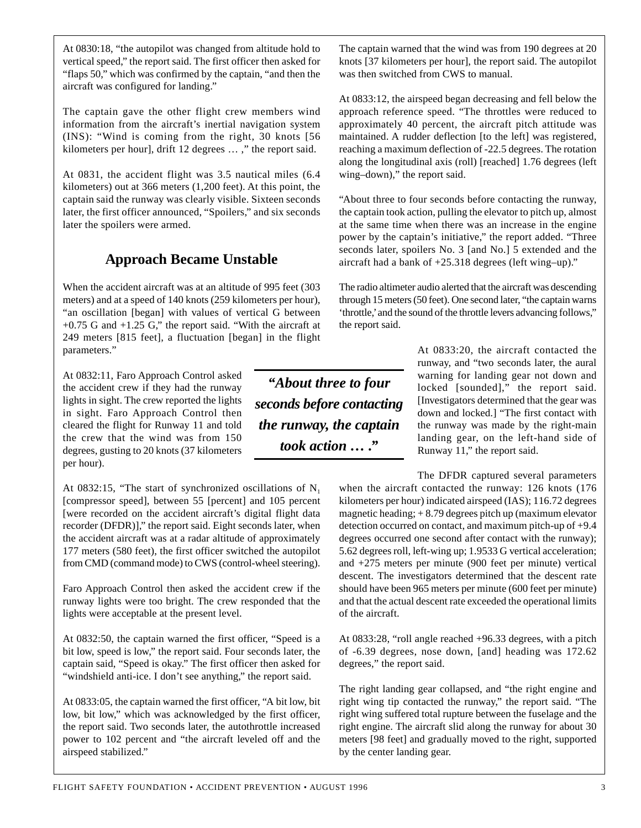At 0830:18, "the autopilot was changed from altitude hold to vertical speed," the report said. The first officer then asked for "flaps 50," which was confirmed by the captain, "and then the aircraft was configured for landing."

The captain gave the other flight crew members wind information from the aircraft's inertial navigation system (INS): "Wind is coming from the right, 30 knots [56 kilometers per hour], drift 12 degrees … ," the report said.

At 0831, the accident flight was 3.5 nautical miles (6.4 kilometers) out at 366 meters (1,200 feet). At this point, the captain said the runway was clearly visible. Sixteen seconds later, the first officer announced, "Spoilers," and six seconds later the spoilers were armed.

# **Approach Became Unstable**

When the accident aircraft was at an altitude of 995 feet (303 meters) and at a speed of 140 knots (259 kilometers per hour), "an oscillation [began] with values of vertical G between  $+0.75$  G and  $+1.25$  G," the report said. "With the aircraft at 249 meters [815 feet], a fluctuation [began] in the flight parameters."

At 0832:11, Faro Approach Control asked the accident crew if they had the runway lights in sight. The crew reported the lights in sight. Faro Approach Control then cleared the flight for Runway 11 and told the crew that the wind was from 150 degrees, gusting to 20 knots (37 kilometers per hour).

At 0832:15, "The start of synchronized oscillations of  $N_1$ [compressor speed], between 55 [percent] and 105 percent [were recorded on the accident aircraft's digital flight data recorder (DFDR)]," the report said. Eight seconds later, when the accident aircraft was at a radar altitude of approximately 177 meters (580 feet), the first officer switched the autopilot from CMD (command mode) to CWS (control-wheel steering).

Faro Approach Control then asked the accident crew if the runway lights were too bright. The crew responded that the lights were acceptable at the present level.

At 0832:50, the captain warned the first officer, "Speed is a bit low, speed is low," the report said. Four seconds later, the captain said, "Speed is okay." The first officer then asked for "windshield anti-ice. I don't see anything," the report said.

At 0833:05, the captain warned the first officer, "A bit low, bit low, bit low," which was acknowledged by the first officer, the report said. Two seconds later, the autothrottle increased power to 102 percent and "the aircraft leveled off and the airspeed stabilized."

*"About three to four seconds before contacting the runway, the captain took action … ."*

The captain warned that the wind was from 190 degrees at 20 knots [37 kilometers per hour], the report said. The autopilot was then switched from CWS to manual.

At 0833:12, the airspeed began decreasing and fell below the approach reference speed. "The throttles were reduced to approximately 40 percent, the aircraft pitch attitude was maintained. A rudder deflection [to the left] was registered, reaching a maximum deflection of -22.5 degrees. The rotation along the longitudinal axis (roll) [reached] 1.76 degrees (left wing–down)," the report said.

"About three to four seconds before contacting the runway, the captain took action, pulling the elevator to pitch up, almost at the same time when there was an increase in the engine power by the captain's initiative," the report added. "Three seconds later, spoilers No. 3 [and No.] 5 extended and the aircraft had a bank of +25.318 degrees (left wing–up)."

The radio altimeter audio alerted that the aircraft was descending through 15 meters (50 feet). One second later, "the captain warns 'throttle,' and the sound of the throttle levers advancing follows," the report said.

> At 0833:20, the aircraft contacted the runway, and "two seconds later, the aural warning for landing gear not down and locked [sounded]," the report said. [Investigators determined that the gear was down and locked.] "The first contact with the runway was made by the right-main landing gear, on the left-hand side of Runway 11," the report said.

The DFDR captured several parameters when the aircraft contacted the runway: 126 knots (176 kilometers per hour) indicated airspeed (IAS); 116.72 degrees magnetic heading;  $+8.79$  degrees pitch up (maximum elevator detection occurred on contact, and maximum pitch-up of +9.4 degrees occurred one second after contact with the runway); 5.62 degrees roll, left-wing up; 1.9533 G vertical acceleration; and +275 meters per minute (900 feet per minute) vertical descent. The investigators determined that the descent rate should have been 965 meters per minute (600 feet per minute) and that the actual descent rate exceeded the operational limits of the aircraft.

At 0833:28, "roll angle reached +96.33 degrees, with a pitch of -6.39 degrees, nose down, [and] heading was 172.62 degrees," the report said.

The right landing gear collapsed, and "the right engine and right wing tip contacted the runway," the report said. "The right wing suffered total rupture between the fuselage and the right engine. The aircraft slid along the runway for about 30 meters [98 feet] and gradually moved to the right, supported by the center landing gear.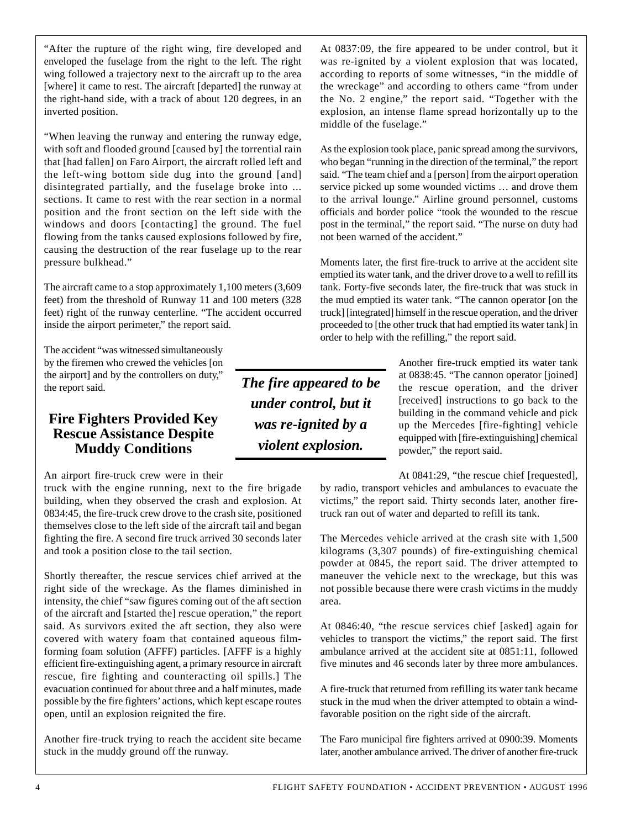"After the rupture of the right wing, fire developed and enveloped the fuselage from the right to the left. The right wing followed a trajectory next to the aircraft up to the area [where] it came to rest. The aircraft [departed] the runway at the right-hand side, with a track of about 120 degrees, in an inverted position.

"When leaving the runway and entering the runway edge, with soft and flooded ground [caused by] the torrential rain that [had fallen] on Faro Airport, the aircraft rolled left and the left-wing bottom side dug into the ground [and] disintegrated partially, and the fuselage broke into ... sections. It came to rest with the rear section in a normal position and the front section on the left side with the windows and doors [contacting] the ground. The fuel flowing from the tanks caused explosions followed by fire, causing the destruction of the rear fuselage up to the rear pressure bulkhead."

The aircraft came to a stop approximately 1,100 meters (3,609 feet) from the threshold of Runway 11 and 100 meters (328 feet) right of the runway centerline. "The accident occurred inside the airport perimeter," the report said.

The accident "was witnessed simultaneously by the firemen who crewed the vehicles [on the airport] and by the controllers on duty," the report said.

#### **Fire Fighters Provided Key Rescue Assistance Despite Muddy Conditions**

An airport fire-truck crew were in their

truck with the engine running, next to the fire brigade building, when they observed the crash and explosion. At 0834:45, the fire-truck crew drove to the crash site, positioned themselves close to the left side of the aircraft tail and began fighting the fire. A second fire truck arrived 30 seconds later and took a position close to the tail section.

Shortly thereafter, the rescue services chief arrived at the right side of the wreckage. As the flames diminished in intensity, the chief "saw figures coming out of the aft section of the aircraft and [started the] rescue operation," the report said. As survivors exited the aft section, they also were covered with watery foam that contained aqueous filmforming foam solution (AFFF) particles. [AFFF is a highly efficient fire-extinguishing agent, a primary resource in aircraft rescue, fire fighting and counteracting oil spills.] The evacuation continued for about three and a half minutes, made possible by the fire fighters' actions, which kept escape routes open, until an explosion reignited the fire.

Another fire-truck trying to reach the accident site became stuck in the muddy ground off the runway.

At 0837:09, the fire appeared to be under control, but it was re-ignited by a violent explosion that was located, according to reports of some witnesses, "in the middle of the wreckage" and according to others came "from under the No. 2 engine," the report said. "Together with the explosion, an intense flame spread horizontally up to the middle of the fuselage."

As the explosion took place, panic spread among the survivors, who began "running in the direction of the terminal," the report said. "The team chief and a [person] from the airport operation service picked up some wounded victims … and drove them to the arrival lounge." Airline ground personnel, customs officials and border police "took the wounded to the rescue post in the terminal," the report said. "The nurse on duty had not been warned of the accident."

Moments later, the first fire-truck to arrive at the accident site emptied its water tank, and the driver drove to a well to refill its tank. Forty-five seconds later, the fire-truck that was stuck in the mud emptied its water tank. "The cannon operator [on the truck] [integrated] himself in the rescue operation, and the driver proceeded to [the other truck that had emptied its water tank] in order to help with the refilling," the report said.

*The fire appeared to be under control, but it was re-ignited by a violent explosion.*

Another fire-truck emptied its water tank at 0838:45. "The cannon operator [joined] the rescue operation, and the driver [received] instructions to go back to the building in the command vehicle and pick up the Mercedes [fire-fighting] vehicle equipped with [fire-extinguishing] chemical powder," the report said.

At 0841:29, "the rescue chief [requested], by radio, transport vehicles and ambulances to evacuate the victims," the report said. Thirty seconds later, another firetruck ran out of water and departed to refill its tank.

The Mercedes vehicle arrived at the crash site with 1,500 kilograms (3,307 pounds) of fire-extinguishing chemical powder at 0845, the report said. The driver attempted to maneuver the vehicle next to the wreckage, but this was not possible because there were crash victims in the muddy area.

At 0846:40, "the rescue services chief [asked] again for vehicles to transport the victims," the report said. The first ambulance arrived at the accident site at 0851:11, followed five minutes and 46 seconds later by three more ambulances.

A fire-truck that returned from refilling its water tank became stuck in the mud when the driver attempted to obtain a windfavorable position on the right side of the aircraft.

The Faro municipal fire fighters arrived at 0900:39. Moments later, another ambulance arrived. The driver of another fire-truck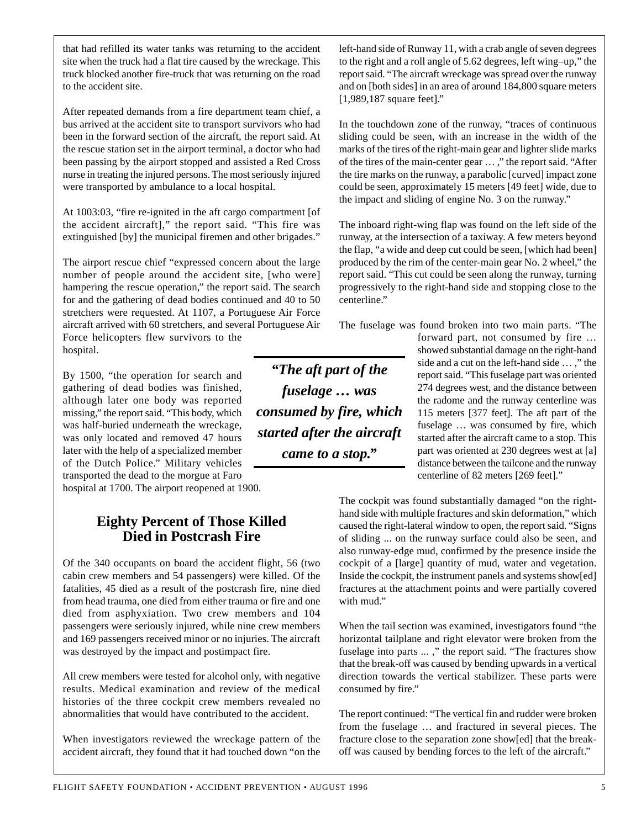that had refilled its water tanks was returning to the accident site when the truck had a flat tire caused by the wreckage. This truck blocked another fire-truck that was returning on the road to the accident site.

After repeated demands from a fire department team chief, a bus arrived at the accident site to transport survivors who had been in the forward section of the aircraft, the report said. At the rescue station set in the airport terminal, a doctor who had been passing by the airport stopped and assisted a Red Cross nurse in treating the injured persons. The most seriously injured were transported by ambulance to a local hospital.

At 1003:03, "fire re-ignited in the aft cargo compartment [of the accident aircraft]," the report said. "This fire was extinguished [by] the municipal firemen and other brigades."

The airport rescue chief "expressed concern about the large number of people around the accident site, [who were] hampering the rescue operation," the report said. The search for and the gathering of dead bodies continued and 40 to 50 stretchers were requested. At 1107, a Portuguese Air Force aircraft arrived with 60 stretchers, and several Portuguese Air Force helicopters flew survivors to the hospital.

By 1500, "the operation for search and gathering of dead bodies was finished, although later one body was reported missing," the report said. "This body, which was half-buried underneath the wreckage, was only located and removed 47 hours later with the help of a specialized member of the Dutch Police." Military vehicles transported the dead to the morgue at Faro hospital at 1700. The airport reopened at 1900.

## **Eighty Percent of Those Killed Died in Postcrash Fire**

Of the 340 occupants on board the accident flight, 56 (two cabin crew members and 54 passengers) were killed. Of the fatalities, 45 died as a result of the postcrash fire, nine died from head trauma, one died from either trauma or fire and one died from asphyxiation. Two crew members and 104 passengers were seriously injured, while nine crew members and 169 passengers received minor or no injuries. The aircraft was destroyed by the impact and postimpact fire.

All crew members were tested for alcohol only, with negative results. Medical examination and review of the medical histories of the three cockpit crew members revealed no abnormalities that would have contributed to the accident.

When investigators reviewed the wreckage pattern of the accident aircraft, they found that it had touched down "on the left-hand side of Runway 11, with a crab angle of seven degrees to the right and a roll angle of 5.62 degrees, left wing–up," the report said. "The aircraft wreckage was spread over the runway and on [both sides] in an area of around 184,800 square meters [1,989,187 square feet]."

In the touchdown zone of the runway, "traces of continuous sliding could be seen, with an increase in the width of the marks of the tires of the right-main gear and lighter slide marks of the tires of the main-center gear … ," the report said. "After the tire marks on the runway, a parabolic [curved] impact zone could be seen, approximately 15 meters [49 feet] wide, due to the impact and sliding of engine No. 3 on the runway."

The inboard right-wing flap was found on the left side of the runway, at the intersection of a taxiway. A few meters beyond the flap, "a wide and deep cut could be seen, [which had been] produced by the rim of the center-main gear No. 2 wheel," the report said. "This cut could be seen along the runway, turning progressively to the right-hand side and stopping close to the centerline."

The fuselage was found broken into two main parts. "The

*"The aft part of the fuselage … was consumed by fire, which started after the aircraft came to a stop."*

forward part, not consumed by fire … showed substantial damage on the right-hand side and a cut on the left-hand side … ," the report said. "This fuselage part was oriented 274 degrees west, and the distance between the radome and the runway centerline was 115 meters [377 feet]. The aft part of the fuselage … was consumed by fire, which started after the aircraft came to a stop. This part was oriented at 230 degrees west at [a] distance between the tailcone and the runway centerline of 82 meters [269 feet]."

The cockpit was found substantially damaged "on the righthand side with multiple fractures and skin deformation," which caused the right-lateral window to open, the report said. "Signs of sliding ... on the runway surface could also be seen, and also runway-edge mud, confirmed by the presence inside the cockpit of a [large] quantity of mud, water and vegetation. Inside the cockpit, the instrument panels and systems show[ed] fractures at the attachment points and were partially covered with mud."

When the tail section was examined, investigators found "the horizontal tailplane and right elevator were broken from the fuselage into parts ... ," the report said. "The fractures show that the break-off was caused by bending upwards in a vertical direction towards the vertical stabilizer. These parts were consumed by fire."

The report continued: "The vertical fin and rudder were broken from the fuselage … and fractured in several pieces. The fracture close to the separation zone show[ed] that the breakoff was caused by bending forces to the left of the aircraft."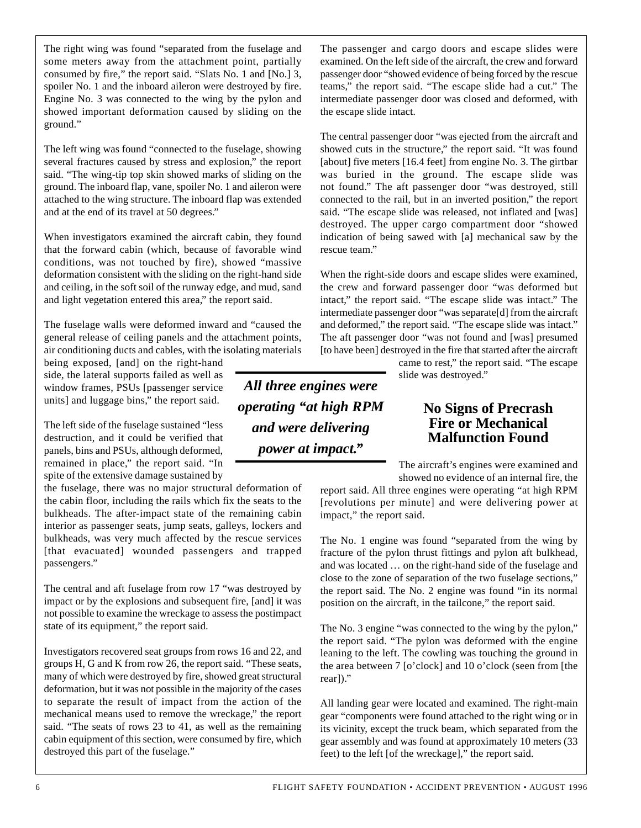The right wing was found "separated from the fuselage and some meters away from the attachment point, partially consumed by fire," the report said. "Slats No. 1 and [No.] 3, spoiler No. 1 and the inboard aileron were destroyed by fire. Engine No. 3 was connected to the wing by the pylon and showed important deformation caused by sliding on the ground."

The left wing was found "connected to the fuselage, showing several fractures caused by stress and explosion," the report said. "The wing-tip top skin showed marks of sliding on the ground. The inboard flap, vane, spoiler No. 1 and aileron were attached to the wing structure. The inboard flap was extended and at the end of its travel at 50 degrees."

When investigators examined the aircraft cabin, they found that the forward cabin (which, because of favorable wind conditions, was not touched by fire), showed "massive deformation consistent with the sliding on the right-hand side and ceiling, in the soft soil of the runway edge, and mud, sand and light vegetation entered this area," the report said.

The fuselage walls were deformed inward and "caused the general release of ceiling panels and the attachment points, air conditioning ducts and cables, with the isolating materials

being exposed, [and] on the right-hand side, the lateral supports failed as well as window frames, PSUs [passenger service units] and luggage bins," the report said.

The left side of the fuselage sustained "less destruction, and it could be verified that panels, bins and PSUs, although deformed, remained in place," the report said. "In spite of the extensive damage sustained by

the fuselage, there was no major structural deformation of the cabin floor, including the rails which fix the seats to the bulkheads. The after-impact state of the remaining cabin interior as passenger seats, jump seats, galleys, lockers and bulkheads, was very much affected by the rescue services [that evacuated] wounded passengers and trapped passengers."

The central and aft fuselage from row 17 "was destroyed by impact or by the explosions and subsequent fire, [and] it was not possible to examine the wreckage to assess the postimpact state of its equipment," the report said.

Investigators recovered seat groups from rows 16 and 22, and groups H, G and K from row 26, the report said. "These seats, many of which were destroyed by fire, showed great structural deformation, but it was not possible in the majority of the cases to separate the result of impact from the action of the mechanical means used to remove the wreckage," the report said. "The seats of rows 23 to 41, as well as the remaining cabin equipment of this section, were consumed by fire, which destroyed this part of the fuselage."

*All three engines were operating "at high RPM and were delivering power at impact."*

The passenger and cargo doors and escape slides were examined. On the left side of the aircraft, the crew and forward passenger door "showed evidence of being forced by the rescue teams," the report said. "The escape slide had a cut." The intermediate passenger door was closed and deformed, with the escape slide intact.

The central passenger door "was ejected from the aircraft and showed cuts in the structure," the report said. "It was found [about] five meters [16.4 feet] from engine No. 3. The girtbar was buried in the ground. The escape slide was not found." The aft passenger door "was destroyed, still connected to the rail, but in an inverted position," the report said. "The escape slide was released, not inflated and [was] destroyed. The upper cargo compartment door "showed indication of being sawed with [a] mechanical saw by the rescue team."

When the right-side doors and escape slides were examined, the crew and forward passenger door "was deformed but intact," the report said. "The escape slide was intact." The intermediate passenger door "was separate[d] from the aircraft and deformed," the report said. "The escape slide was intact." The aft passenger door "was not found and [was] presumed [to have been] destroyed in the fire that started after the aircraft

came to rest," the report said. "The escape slide was destroyed."

#### **No Signs of Precrash Fire or Mechanical Malfunction Found**

The aircraft's engines were examined and showed no evidence of an internal fire, the

report said. All three engines were operating "at high RPM [revolutions per minute] and were delivering power at impact," the report said.

The No. 1 engine was found "separated from the wing by fracture of the pylon thrust fittings and pylon aft bulkhead, and was located … on the right-hand side of the fuselage and close to the zone of separation of the two fuselage sections," the report said. The No. 2 engine was found "in its normal position on the aircraft, in the tailcone," the report said.

The No. 3 engine "was connected to the wing by the pylon," the report said. "The pylon was deformed with the engine leaning to the left. The cowling was touching the ground in the area between 7 [o'clock] and 10 o'clock (seen from [the rear])."

All landing gear were located and examined. The right-main gear "components were found attached to the right wing or in its vicinity, except the truck beam, which separated from the gear assembly and was found at approximately 10 meters (33 feet) to the left [of the wreckage]," the report said.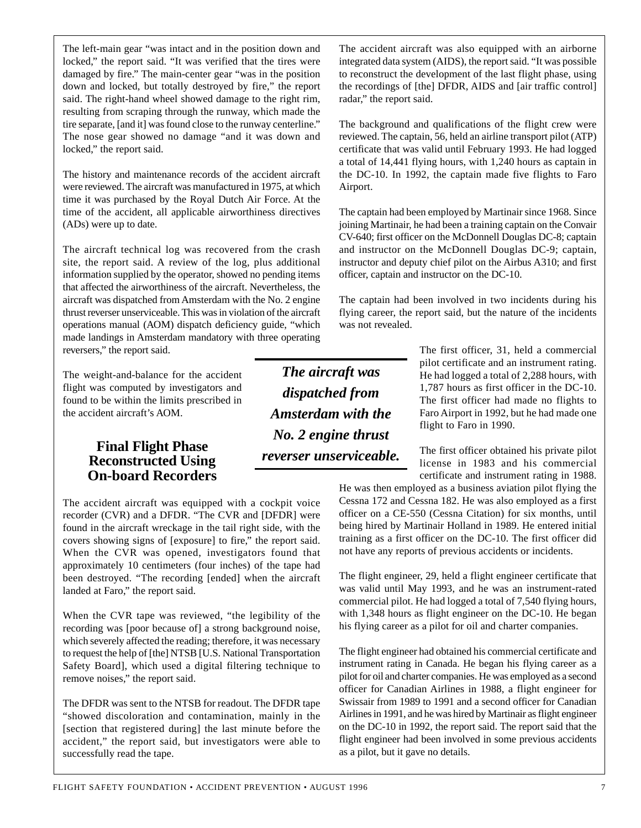down and locked, but totally destroyed by fire," the report said. The right-hand wheel showed damage to the right rim, resulting from scraping through the runway, which made the tire separate, [and it] was found close to the runway centerline." The nose gear showed no damage "and it was down and locked," the report said. The history and maintenance records of the accident aircraft

The left-main gear "was intact and in the position down and locked," the report said. "It was verified that the tires were damaged by fire." The main-center gear "was in the position

were reviewed. The aircraft was manufactured in 1975, at which time it was purchased by the Royal Dutch Air Force. At the time of the accident, all applicable airworthiness directives (ADs) were up to date.

The aircraft technical log was recovered from the crash site, the report said. A review of the log, plus additional information supplied by the operator, showed no pending items that affected the airworthiness of the aircraft. Nevertheless, the aircraft was dispatched from Amsterdam with the No. 2 engine thrust reverser unserviceable. This was in violation of the aircraft operations manual (AOM) dispatch deficiency guide, "which made landings in Amsterdam mandatory with three operating reversers," the report said.

The weight-and-balance for the accident flight was computed by investigators and found to be within the limits prescribed in the accident aircraft's AOM.

# **Final Flight Phase Reconstructed Using On-board Recorders**

The accident aircraft was equipped with a cockpit voice recorder (CVR) and a DFDR. "The CVR and [DFDR] were found in the aircraft wreckage in the tail right side, with the covers showing signs of [exposure] to fire," the report said. When the CVR was opened, investigators found that approximately 10 centimeters (four inches) of the tape had been destroyed. "The recording [ended] when the aircraft landed at Faro," the report said.

When the CVR tape was reviewed, "the legibility of the recording was [poor because of] a strong background noise, which severely affected the reading; therefore, it was necessary to request the help of [the] NTSB [U.S. National Transportation Safety Board], which used a digital filtering technique to remove noises," the report said.

The DFDR was sent to the NTSB for readout. The DFDR tape "showed discoloration and contamination, mainly in the [section that registered during] the last minute before the accident," the report said, but investigators were able to successfully read the tape.

*The aircraft was dispatched from Amsterdam with the No. 2 engine thrust reverser unserviceable.*

The accident aircraft was also equipped with an airborne integrated data system (AIDS), the report said. "It was possible to reconstruct the development of the last flight phase, using the recordings of [the] DFDR, AIDS and [air traffic control] radar," the report said.

The background and qualifications of the flight crew were reviewed. The captain, 56, held an airline transport pilot (ATP) certificate that was valid until February 1993. He had logged a total of 14,441 flying hours, with 1,240 hours as captain in the DC-10. In 1992, the captain made five flights to Faro Airport.

The captain had been employed by Martinair since 1968. Since joining Martinair, he had been a training captain on the Convair CV-640; first officer on the McDonnell Douglas DC-8; captain and instructor on the McDonnell Douglas DC-9; captain, instructor and deputy chief pilot on the Airbus A310; and first officer, captain and instructor on the DC-10.

The captain had been involved in two incidents during his flying career, the report said, but the nature of the incidents was not revealed.

> The first officer, 31, held a commercial pilot certificate and an instrument rating. He had logged a total of 2,288 hours, with 1,787 hours as first officer in the DC-10. The first officer had made no flights to Faro Airport in 1992, but he had made one flight to Faro in 1990.

> The first officer obtained his private pilot license in 1983 and his commercial certificate and instrument rating in 1988.

He was then employed as a business aviation pilot flying the Cessna 172 and Cessna 182. He was also employed as a first officer on a CE-550 (Cessna Citation) for six months, until being hired by Martinair Holland in 1989. He entered initial training as a first officer on the DC-10. The first officer did not have any reports of previous accidents or incidents.

The flight engineer, 29, held a flight engineer certificate that was valid until May 1993, and he was an instrument-rated commercial pilot. He had logged a total of 7,540 flying hours, with 1,348 hours as flight engineer on the DC-10. He began his flying career as a pilot for oil and charter companies.

The flight engineer had obtained his commercial certificate and instrument rating in Canada. He began his flying career as a pilot for oil and charter companies. He was employed as a second officer for Canadian Airlines in 1988, a flight engineer for Swissair from 1989 to 1991 and a second officer for Canadian Airlines in 1991, and he was hired by Martinair as flight engineer on the DC-10 in 1992, the report said. The report said that the flight engineer had been involved in some previous accidents as a pilot, but it gave no details.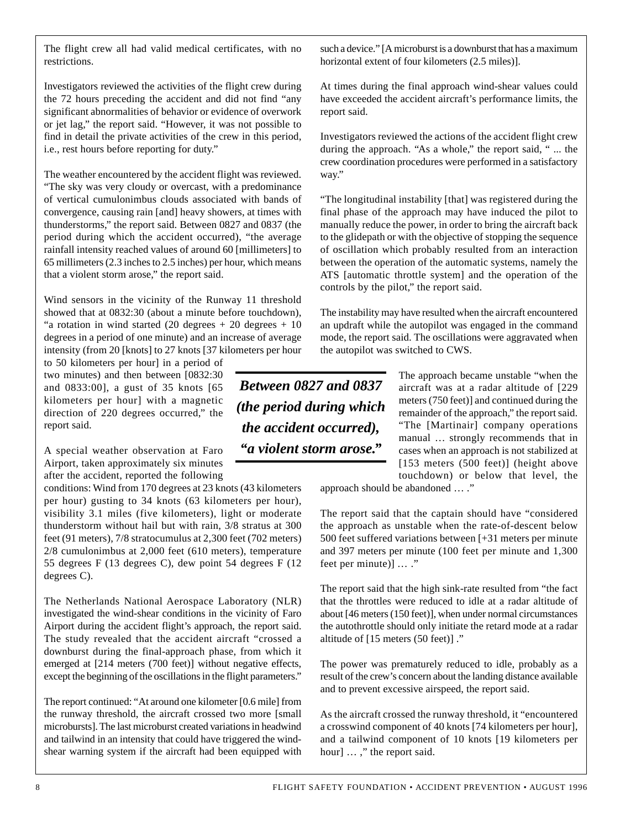Investigators reviewed the activities of the flight crew during the 72 hours preceding the accident and did not find "any significant abnormalities of behavior or evidence of overwork or jet lag," the report said. "However, it was not possible to find in detail the private activities of the crew in this period, i.e., rest hours before reporting for duty."

The weather encountered by the accident flight was reviewed. "The sky was very cloudy or overcast, with a predominance of vertical cumulonimbus clouds associated with bands of convergence, causing rain [and] heavy showers, at times with thunderstorms," the report said. Between 0827 and 0837 (the period during which the accident occurred), "the average rainfall intensity reached values of around 60 [millimeters] to 65 millimeters (2.3 inches to 2.5 inches) per hour, which means that a violent storm arose," the report said.

Wind sensors in the vicinity of the Runway 11 threshold showed that at 0832:30 (about a minute before touchdown), "a rotation in wind started  $(20 \text{ degrees} + 20 \text{ degrees} + 10$ degrees in a period of one minute) and an increase of average intensity (from 20 [knots] to 27 knots [37 kilometers per hour

to 50 kilometers per hour] in a period of two minutes) and then between [0832:30 and 0833:00], a gust of 35 knots [65 kilometers per hour] with a magnetic direction of 220 degrees occurred," the report said.

A special weather observation at Faro Airport, taken approximately six minutes after the accident, reported the following

conditions: Wind from 170 degrees at 23 knots (43 kilometers per hour) gusting to 34 knots (63 kilometers per hour), visibility 3.1 miles (five kilometers), light or moderate thunderstorm without hail but with rain, 3/8 stratus at 300 feet (91 meters), 7/8 stratocumulus at 2,300 feet (702 meters) 2/8 cumulonimbus at 2,000 feet (610 meters), temperature 55 degrees F (13 degrees C), dew point 54 degrees F (12 degrees C).

The Netherlands National Aerospace Laboratory (NLR) investigated the wind-shear conditions in the vicinity of Faro Airport during the accident flight's approach, the report said. The study revealed that the accident aircraft "crossed a downburst during the final-approach phase, from which it emerged at [214 meters (700 feet)] without negative effects, except the beginning of the oscillations in the flight parameters."

The report continued: "At around one kilometer [0.6 mile] from the runway threshold, the aircraft crossed two more [small microbursts]. The last microburst created variations in headwind and tailwind in an intensity that could have triggered the windshear warning system if the aircraft had been equipped with such a device." [A microburst is a downburst that has a maximum horizontal extent of four kilometers (2.5 miles)].

At times during the final approach wind-shear values could have exceeded the accident aircraft's performance limits, the report said.

Investigators reviewed the actions of the accident flight crew during the approach. "As a whole," the report said, " ... the crew coordination procedures were performed in a satisfactory way."

"The longitudinal instability [that] was registered during the final phase of the approach may have induced the pilot to manually reduce the power, in order to bring the aircraft back to the glidepath or with the objective of stopping the sequence of oscillation which probably resulted from an interaction between the operation of the automatic systems, namely the ATS [automatic throttle system] and the operation of the controls by the pilot," the report said.

The instability may have resulted when the aircraft encountered an updraft while the autopilot was engaged in the command mode, the report said. The oscillations were aggravated when the autopilot was switched to CWS.

*Between 0827 and 0837 (the period during which the accident occurred), "a violent storm arose."*

The approach became unstable "when the aircraft was at a radar altitude of [229 meters (750 feet)] and continued during the remainder of the approach," the report said. "The [Martinair] company operations manual … strongly recommends that in cases when an approach is not stabilized at [153 meters (500 feet)] (height above touchdown) or below that level, the

approach should be abandoned … ."

The report said that the captain should have "considered the approach as unstable when the rate-of-descent below 500 feet suffered variations between [+31 meters per minute and 397 meters per minute (100 feet per minute and 1,300 feet per minute)] … ."

The report said that the high sink-rate resulted from "the fact that the throttles were reduced to idle at a radar altitude of about [46 meters (150 feet)], when under normal circumstances the autothrottle should only initiate the retard mode at a radar altitude of [15 meters (50 feet)] ."

The power was prematurely reduced to idle, probably as a result of the crew's concern about the landing distance available and to prevent excessive airspeed, the report said.

As the aircraft crossed the runway threshold, it "encountered a crosswind component of 40 knots [74 kilometers per hour], and a tailwind component of 10 knots [19 kilometers per hour] ...," the report said.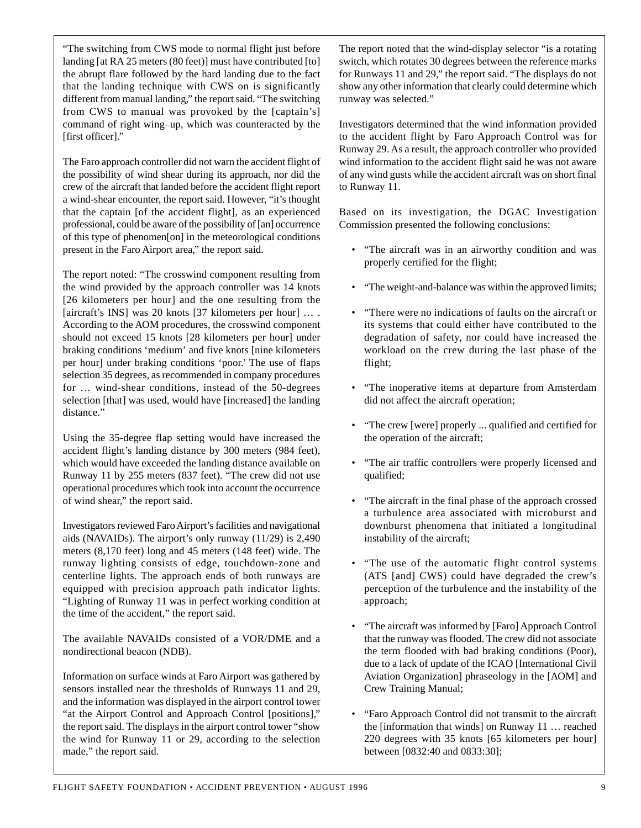"The switching from CWS mode to normal flight just before landing [at RA 25 meters (80 feet)] must have contributed [to] the abrupt flare followed by the hard landing due to the fact that the landing technique with CWS on is significantly different from manual landing," the report said. "The switching from CWS to manual was provoked by the [captain's] command of right wing–up, which was counteracted by the [first officer]."

The Faro approach controller did not warn the accident flight of the possibility of wind shear during its approach, nor did the crew of the aircraft that landed before the accident flight report a wind-shear encounter, the report said. However, "it's thought that the captain [of the accident flight], as an experienced professional, could be aware of the possibility of [an] occurrence of this type of phenomen[on] in the meteorological conditions present in the Faro Airport area," the report said.

The report noted: "The crosswind component resulting from the wind provided by the approach controller was 14 knots [26 kilometers per hour] and the one resulting from the [aircraft's INS] was 20 knots [37 kilometers per hour] … . According to the AOM procedures, the crosswind component should not exceed 15 knots [28 kilometers per hour] under braking conditions 'medium' and five knots [nine kilometers per hour] under braking conditions 'poor.' The use of flaps selection 35 degrees, as recommended in company procedures for … wind-shear conditions, instead of the 50-degrees selection [that] was used, would have [increased] the landing distance."

Using the 35-degree flap setting would have increased the accident flight's landing distance by 300 meters (984 feet), which would have exceeded the landing distance available on Runway 11 by 255 meters (837 feet). "The crew did not use operational procedures which took into account the occurrence of wind shear," the report said.

Investigators reviewed Faro Airport's facilities and navigational aids (NAVAIDs). The airport's only runway (11/29) is 2,490 meters (8,170 feet) long and 45 meters (148 feet) wide. The runway lighting consists of edge, touchdown-zone and centerline lights. The approach ends of both runways are equipped with precision approach path indicator lights. "Lighting of Runway 11 was in perfect working condition at the time of the accident," the report said.

The available NAVAIDs consisted of a VOR/DME and a nondirectional beacon (NDB).

Information on surface winds at Faro Airport was gathered by sensors installed near the thresholds of Runways 11 and 29, and the information was displayed in the airport control tower "at the Airport Control and Approach Control [positions]," the report said. The displays in the airport control tower "show the wind for Runway 11 or 29, according to the selection made," the report said.

The report noted that the wind-display selector "is a rotating switch, which rotates 30 degrees between the reference marks for Runways 11 and 29," the report said. "The displays do not show any other information that clearly could determine which runway was selected."

Investigators determined that the wind information provided to the accident flight by Faro Approach Control was for Runway 29. As a result, the approach controller who provided wind information to the accident flight said he was not aware of any wind gusts while the accident aircraft was on short final to Runway 11.

Based on its investigation, the DGAC Investigation Commission presented the following conclusions:

- "The aircraft was in an airworthy condition and was properly certified for the flight;
- "The weight-and-balance was within the approved limits;
- "There were no indications of faults on the aircraft or its systems that could either have contributed to the degradation of safety, nor could have increased the workload on the crew during the last phase of the flight;
- "The inoperative items at departure from Amsterdam did not affect the aircraft operation;
- "The crew [were] properly ... qualified and certified for the operation of the aircraft;
- "The air traffic controllers were properly licensed and qualified;
- "The aircraft in the final phase of the approach crossed a turbulence area associated with microburst and downburst phenomena that initiated a longitudinal instability of the aircraft;
- "The use of the automatic flight control systems (ATS [and] CWS) could have degraded the crew's perception of the turbulence and the instability of the approach;
- "The aircraft was informed by [Faro] Approach Control that the runway was flooded. The crew did not associate the term flooded with bad braking conditions (Poor), due to a lack of update of the ICAO [International Civil Aviation Organization] phraseology in the [AOM] and Crew Training Manual;
- "Faro Approach Control did not transmit to the aircraft the [information that winds] on Runway 11 … reached 220 degrees with 35 knots [65 kilometers per hour] between [0832:40 and 0833:30];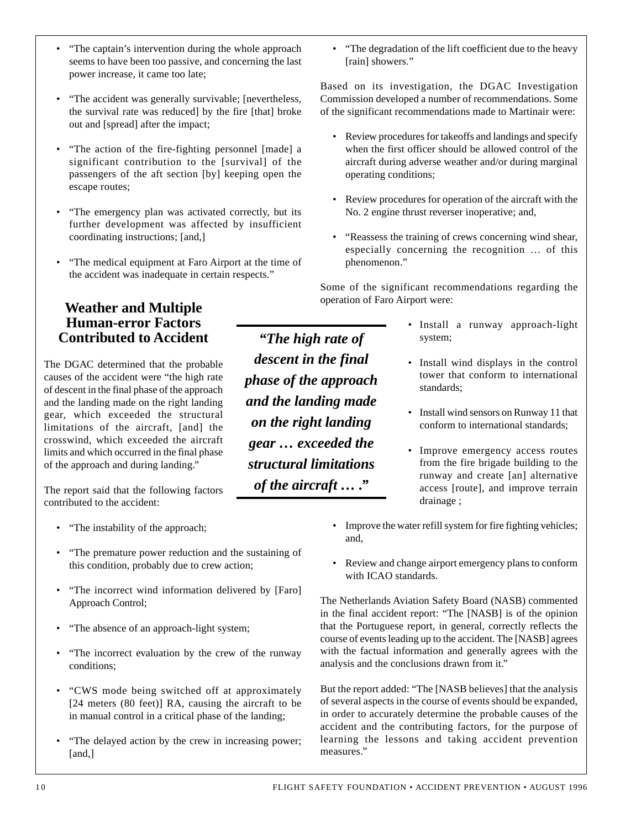• "The accident was generally survivable; [nevertheless, the survival rate was reduced] by the fire [that] broke out and [spread] after the impact;

• "The captain's intervention during the whole approach seems to have been too passive, and concerning the last

power increase, it came too late;

- "The action of the fire-fighting personnel [made] a significant contribution to the [survival] of the passengers of the aft section [by] keeping open the escape routes;
- "The emergency plan was activated correctly, but its further development was affected by insufficient coordinating instructions; [and,]
- "The medical equipment at Faro Airport at the time of the accident was inadequate in certain respects."

#### **Weather and Multiple Human-error Factors Contributed to Accident**

The DGAC determined that the probable causes of the accident were "the high rate of descent in the final phase of the approach and the landing made on the right landing gear, which exceeded the structural limitations of the aircraft, [and] the crosswind, which exceeded the aircraft limits and which occurred in the final phase of the approach and during landing."

The report said that the following factors contributed to the accident:

- "The instability of the approach;
- "The premature power reduction and the sustaining of this condition, probably due to crew action;
- "The incorrect wind information delivered by [Faro] Approach Control;
- "The absence of an approach-light system;
- "The incorrect evaluation by the crew of the runway conditions;
- "CWS mode being switched off at approximately [24 meters (80 feet)] RA, causing the aircraft to be in manual control in a critical phase of the landing;
- "The delayed action by the crew in increasing power; [and,]

• "The degradation of the lift coefficient due to the heavy [rain] showers."

Based on its investigation, the DGAC Investigation Commission developed a number of recommendations. Some of the significant recommendations made to Martinair were:

- Review procedures for takeoffs and landings and specify when the first officer should be allowed control of the aircraft during adverse weather and/or during marginal operating conditions;
- Review procedures for operation of the aircraft with the No. 2 engine thrust reverser inoperative; and,
- "Reassess the training of crews concerning wind shear, especially concerning the recognition … of this phenomenon."

Some of the significant recommendations regarding the operation of Faro Airport were:

*"The high rate of descent in the final phase of the approach and the landing made on the right landing gear … exceeded the structural limitations of the aircraft … ."*

- Install a runway approach-light system;
- Install wind displays in the control tower that conform to international standards;
- Install wind sensors on Runway 11 that conform to international standards;
- Improve emergency access routes from the fire brigade building to the runway and create [an] alternative access [route], and improve terrain drainage ;
- Improve the water refill system for fire fighting vehicles; and,
- Review and change airport emergency plans to conform with ICAO standards.

The Netherlands Aviation Safety Board (NASB) commented in the final accident report: "The [NASB] is of the opinion that the Portuguese report, in general, correctly reflects the course of events leading up to the accident. The [NASB] agrees with the factual information and generally agrees with the analysis and the conclusions drawn from it."

But the report added: "The [NASB believes] that the analysis of several aspects in the course of events should be expanded, in order to accurately determine the probable causes of the accident and the contributing factors, for the purpose of learning the lessons and taking accident prevention measures."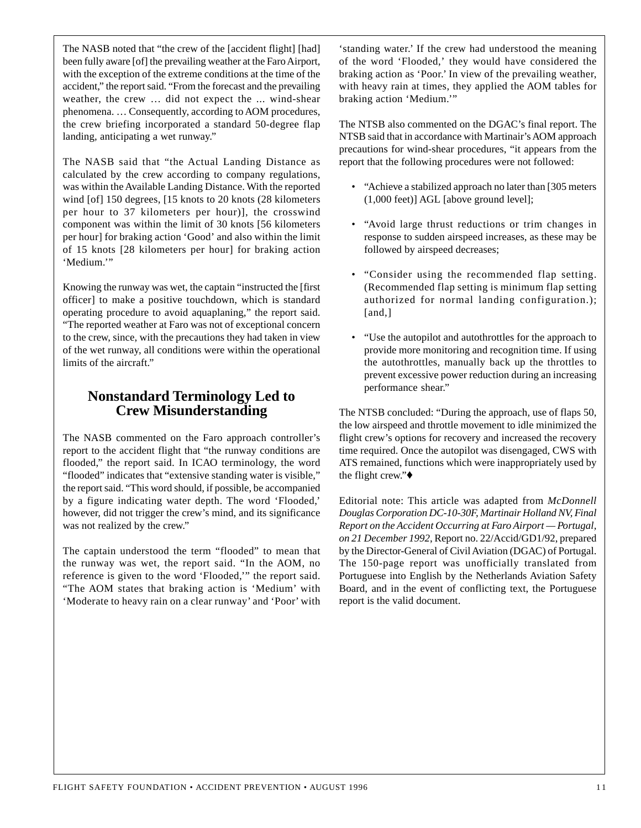The NASB noted that "the crew of the [accident flight] [had] been fully aware [of] the prevailing weather at the Faro Airport, with the exception of the extreme conditions at the time of the accident," the report said. "From the forecast and the prevailing weather, the crew … did not expect the ... wind-shear phenomena. … Consequently, according to AOM procedures, the crew briefing incorporated a standard 50-degree flap landing, anticipating a wet runway."

The NASB said that "the Actual Landing Distance as calculated by the crew according to company regulations, was within the Available Landing Distance. With the reported wind [of] 150 degrees, [15 knots to 20 knots (28 kilometers per hour to 37 kilometers per hour)], the crosswind component was within the limit of 30 knots [56 kilometers per hour] for braking action 'Good' and also within the limit of 15 knots [28 kilometers per hour] for braking action 'Medium.'"

Knowing the runway was wet, the captain "instructed the [first officer] to make a positive touchdown, which is standard operating procedure to avoid aquaplaning," the report said. "The reported weather at Faro was not of exceptional concern to the crew, since, with the precautions they had taken in view of the wet runway, all conditions were within the operational limits of the aircraft."

## **Nonstandard Terminology Led to Crew Misunderstanding**

The NASB commented on the Faro approach controller's report to the accident flight that "the runway conditions are flooded," the report said. In ICAO terminology, the word "flooded" indicates that "extensive standing water is visible," the report said. "This word should, if possible, be accompanied by a figure indicating water depth. The word 'Flooded,' however, did not trigger the crew's mind, and its significance was not realized by the crew."

The captain understood the term "flooded" to mean that the runway was wet, the report said. "In the AOM, no reference is given to the word 'Flooded,'" the report said. "The AOM states that braking action is 'Medium' with 'Moderate to heavy rain on a clear runway' and 'Poor' with 'standing water.' If the crew had understood the meaning of the word 'Flooded,' they would have considered the braking action as 'Poor.' In view of the prevailing weather, with heavy rain at times, they applied the AOM tables for braking action 'Medium.'"

The NTSB also commented on the DGAC's final report. The NTSB said that in accordance with Martinair's AOM approach precautions for wind-shear procedures, "it appears from the report that the following procedures were not followed:

- "Achieve a stabilized approach no later than [305 meters (1,000 feet)] AGL [above ground level];
- "Avoid large thrust reductions or trim changes in response to sudden airspeed increases, as these may be followed by airspeed decreases;
- "Consider using the recommended flap setting. (Recommended flap setting is minimum flap setting authorized for normal landing configuration.); [and,]
- "Use the autopilot and autothrottles for the approach to provide more monitoring and recognition time. If using the autothrottles, manually back up the throttles to prevent excessive power reduction during an increasing performance shear."

The NTSB concluded: "During the approach, use of flaps 50, the low airspeed and throttle movement to idle minimized the flight crew's options for recovery and increased the recovery time required. Once the autopilot was disengaged, CWS with ATS remained, functions which were inappropriately used by the flight crew."♦

Editorial note: This article was adapted from *McDonnell Douglas Corporation DC-10-30F, Martinair Holland NV, Final Report on the Accident Occurring at Faro Airport — Portugal, on 21 December 1992*, Report no. 22/Accid/GD1/92, prepared by the Director-General of Civil Aviation (DGAC) of Portugal. The 150-page report was unofficially translated from Portuguese into English by the Netherlands Aviation Safety Board, and in the event of conflicting text, the Portuguese report is the valid document.